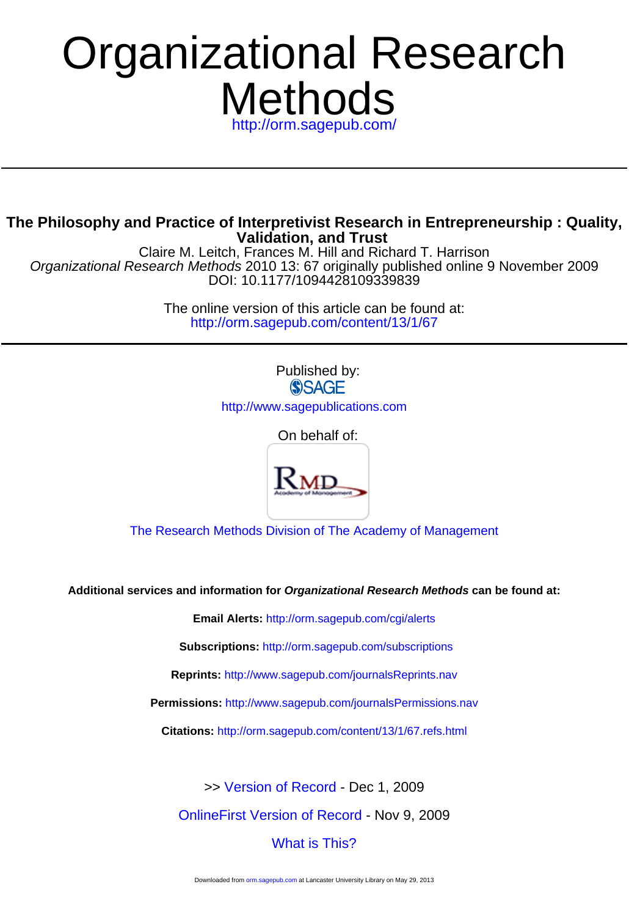# **Methods** <http://orm.sagepub.com/> Organizational Research

#### **Validation, and Trust The Philosophy and Practice of Interpretivist Research in Entrepreneurship : Quality,**

DOI: 10.1177/1094428109339839 Organizational Research Methods 2010 13: 67 originally published online 9 November 2009 Claire M. Leitch, Frances M. Hill and Richard T. Harrison

> <http://orm.sagepub.com/content/13/1/67> The online version of this article can be found at:

> > Published by: **SSAGE** <http://www.sagepublications.com>

> > > On behalf of:



[The Research Methods Division of The Academy of Management](http://www.aom.pace.edu/rmd/)

**Additional services and information for Organizational Research Methods can be found at:**

**Email Alerts:** <http://orm.sagepub.com/cgi/alerts>

**Subscriptions:** <http://orm.sagepub.com/subscriptions>

**Reprints:** <http://www.sagepub.com/journalsReprints.nav>

**Permissions:** <http://www.sagepub.com/journalsPermissions.nav>

**Citations:** <http://orm.sagepub.com/content/13/1/67.refs.html>

[What is This?](http://online.sagepub.com/site/sphelp/vorhelp.xhtml) [OnlineFirst Version of Record](http://orm.sagepub.com/content/early/2009/11/09/1094428109339839.full.pdf) - Nov 9, 2009 >> [Version of Record -](http://orm.sagepub.com/content/13/1/67.full.pdf) Dec 1, 2009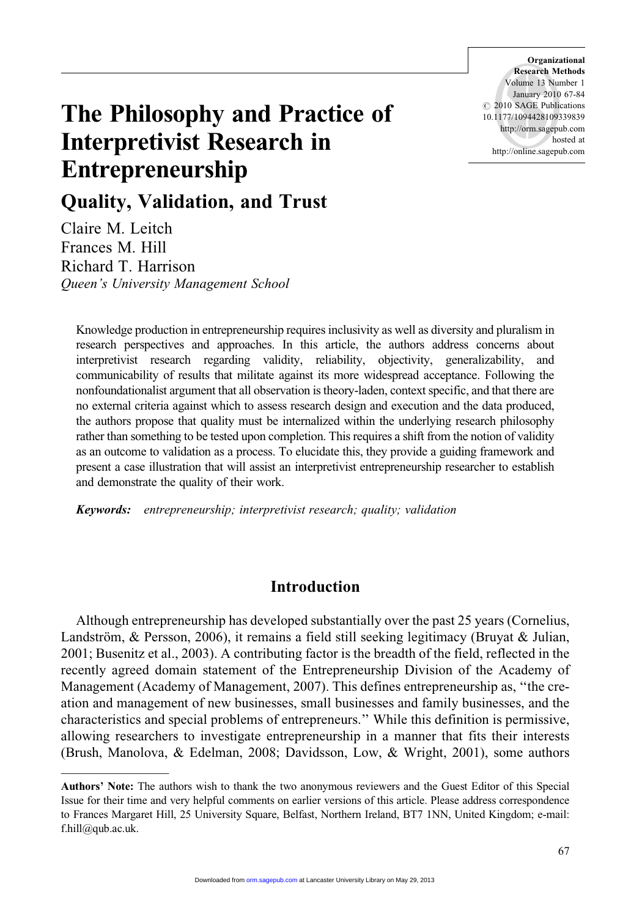Organizational Research Methods Volume 13 Number 1 January 2010 67-84  $\odot$  2010 SAGE Publications 10.1177/1094428109339839 http://orm.sagepub.com hosted at http://online.sagepub.com

## The Philosophy and Practice of Interpretivist Research in Entrepreneurship

### Quality, Validation, and Trust

Claire M. Leitch Frances M. Hill Richard T. Harrison Queen's University Management School

Knowledge production in entrepreneurship requires inclusivity as well as diversity and pluralism in research perspectives and approaches. In this article, the authors address concerns about interpretivist research regarding validity, reliability, objectivity, generalizability, and communicability of results that militate against its more widespread acceptance. Following the nonfoundationalist argument that all observation is theory-laden, context specific, and that there are no external criteria against which to assess research design and execution and the data produced, the authors propose that quality must be internalized within the underlying research philosophy rather than something to be tested upon completion. This requires a shift from the notion of validity as an outcome to validation as a process. To elucidate this, they provide a guiding framework and present a case illustration that will assist an interpretivist entrepreneurship researcher to establish and demonstrate the quality of their work.

Keywords: entrepreneurship; interpretivist research; quality; validation

#### Introduction

Although entrepreneurship has developed substantially over the past 25 years (Cornelius, Landström, & Persson, 2006), it remains a field still seeking legitimacy (Bruyat & Julian, 2001; Busenitz et al., 2003). A contributing factor is the breadth of the field, reflected in the recently agreed domain statement of the Entrepreneurship Division of the Academy of Management (Academy of Management, 2007). This defines entrepreneurship as, ''the creation and management of new businesses, small businesses and family businesses, and the characteristics and special problems of entrepreneurs.'' While this definition is permissive, allowing researchers to investigate entrepreneurship in a manner that fits their interests (Brush, Manolova, & Edelman, 2008; Davidsson, Low, & Wright, 2001), some authors

Authors' Note: The authors wish to thank the two anonymous reviewers and the Guest Editor of this Special Issue for their time and very helpful comments on earlier versions of this article. Please address correspondence to Frances Margaret Hill, 25 University Square, Belfast, Northern Ireland, BT7 1NN, United Kingdom; e-mail: f.hill@qub.ac.uk.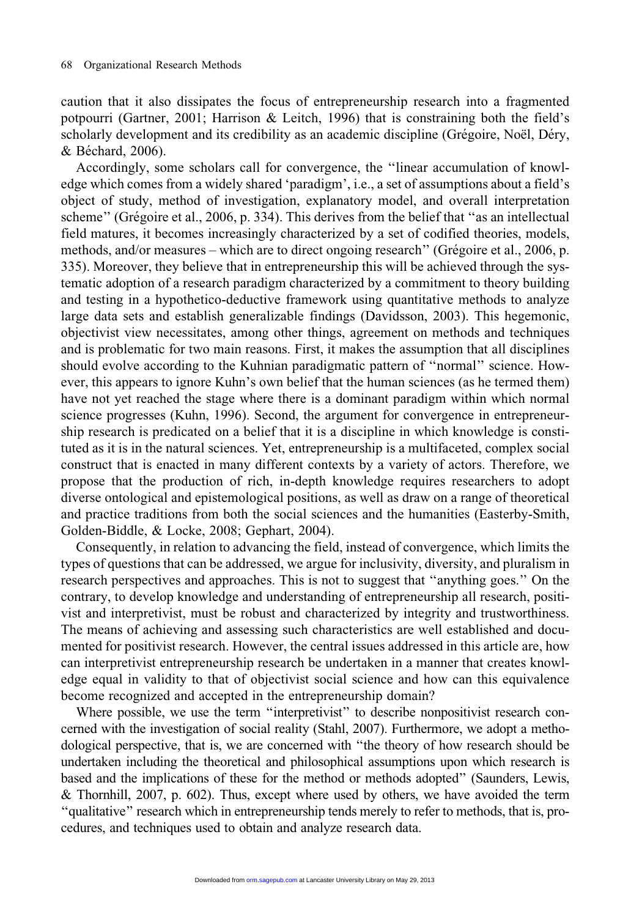caution that it also dissipates the focus of entrepreneurship research into a fragmented potpourri (Gartner, 2001; Harrison & Leitch, 1996) that is constraining both the field's scholarly development and its credibility as an academic discipline (Grégoire, Noël, Déry, & Béchard, 2006).

Accordingly, some scholars call for convergence, the ''linear accumulation of knowledge which comes from a widely shared 'paradigm', i.e., a set of assumptions about a field's object of study, method of investigation, explanatory model, and overall interpretation scheme" (Grégoire et al., 2006, p. 334). This derives from the belief that "as an intellectual field matures, it becomes increasingly characterized by a set of codified theories, models, methods, and/or measures – which are to direct ongoing research" (Grégoire et al., 2006, p. 335). Moreover, they believe that in entrepreneurship this will be achieved through the systematic adoption of a research paradigm characterized by a commitment to theory building and testing in a hypothetico-deductive framework using quantitative methods to analyze large data sets and establish generalizable findings (Davidsson, 2003). This hegemonic, objectivist view necessitates, among other things, agreement on methods and techniques and is problematic for two main reasons. First, it makes the assumption that all disciplines should evolve according to the Kuhnian paradigmatic pattern of ''normal'' science. However, this appears to ignore Kuhn's own belief that the human sciences (as he termed them) have not yet reached the stage where there is a dominant paradigm within which normal science progresses (Kuhn, 1996). Second, the argument for convergence in entrepreneurship research is predicated on a belief that it is a discipline in which knowledge is constituted as it is in the natural sciences. Yet, entrepreneurship is a multifaceted, complex social construct that is enacted in many different contexts by a variety of actors. Therefore, we propose that the production of rich, in-depth knowledge requires researchers to adopt diverse ontological and epistemological positions, as well as draw on a range of theoretical and practice traditions from both the social sciences and the humanities (Easterby-Smith, Golden-Biddle, & Locke, 2008; Gephart, 2004).

Consequently, in relation to advancing the field, instead of convergence, which limits the types of questions that can be addressed, we argue for inclusivity, diversity, and pluralism in research perspectives and approaches. This is not to suggest that ''anything goes.'' On the contrary, to develop knowledge and understanding of entrepreneurship all research, positivist and interpretivist, must be robust and characterized by integrity and trustworthiness. The means of achieving and assessing such characteristics are well established and documented for positivist research. However, the central issues addressed in this article are, how can interpretivist entrepreneurship research be undertaken in a manner that creates knowledge equal in validity to that of objectivist social science and how can this equivalence become recognized and accepted in the entrepreneurship domain?

Where possible, we use the term ''interpretivist'' to describe nonpositivist research concerned with the investigation of social reality (Stahl, 2007). Furthermore, we adopt a methodological perspective, that is, we are concerned with ''the theory of how research should be undertaken including the theoretical and philosophical assumptions upon which research is based and the implications of these for the method or methods adopted'' (Saunders, Lewis, & Thornhill, 2007, p. 602). Thus, except where used by others, we have avoided the term ''qualitative'' research which in entrepreneurship tends merely to refer to methods, that is, procedures, and techniques used to obtain and analyze research data.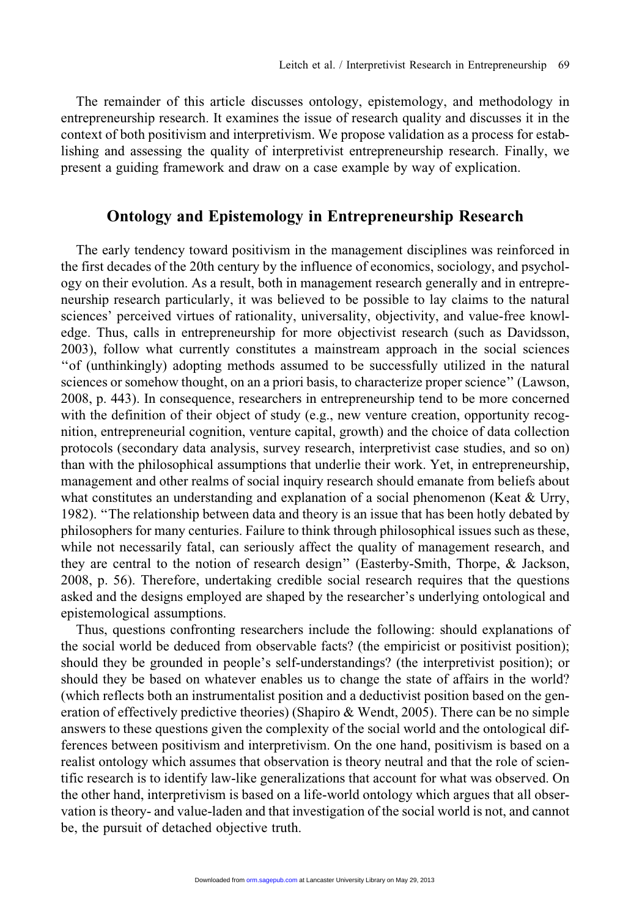The remainder of this article discusses ontology, epistemology, and methodology in entrepreneurship research. It examines the issue of research quality and discusses it in the context of both positivism and interpretivism. We propose validation as a process for establishing and assessing the quality of interpretivist entrepreneurship research. Finally, we present a guiding framework and draw on a case example by way of explication.

#### Ontology and Epistemology in Entrepreneurship Research

The early tendency toward positivism in the management disciplines was reinforced in the first decades of the 20th century by the influence of economics, sociology, and psychology on their evolution. As a result, both in management research generally and in entrepreneurship research particularly, it was believed to be possible to lay claims to the natural sciences' perceived virtues of rationality, universality, objectivity, and value-free knowledge. Thus, calls in entrepreneurship for more objectivist research (such as Davidsson, 2003), follow what currently constitutes a mainstream approach in the social sciences ''of (unthinkingly) adopting methods assumed to be successfully utilized in the natural sciences or somehow thought, on an a priori basis, to characterize proper science'' (Lawson, 2008, p. 443). In consequence, researchers in entrepreneurship tend to be more concerned with the definition of their object of study (e.g., new venture creation, opportunity recognition, entrepreneurial cognition, venture capital, growth) and the choice of data collection protocols (secondary data analysis, survey research, interpretivist case studies, and so on) than with the philosophical assumptions that underlie their work. Yet, in entrepreneurship, management and other realms of social inquiry research should emanate from beliefs about what constitutes an understanding and explanation of a social phenomenon (Keat  $& Urry$ , 1982). ''The relationship between data and theory is an issue that has been hotly debated by philosophers for many centuries. Failure to think through philosophical issues such as these, while not necessarily fatal, can seriously affect the quality of management research, and they are central to the notion of research design'' (Easterby-Smith, Thorpe, & Jackson, 2008, p. 56). Therefore, undertaking credible social research requires that the questions asked and the designs employed are shaped by the researcher's underlying ontological and epistemological assumptions.

Thus, questions confronting researchers include the following: should explanations of the social world be deduced from observable facts? (the empiricist or positivist position); should they be grounded in people's self-understandings? (the interpretivist position); or should they be based on whatever enables us to change the state of affairs in the world? (which reflects both an instrumentalist position and a deductivist position based on the generation of effectively predictive theories) (Shapiro & Wendt, 2005). There can be no simple answers to these questions given the complexity of the social world and the ontological differences between positivism and interpretivism. On the one hand, positivism is based on a realist ontology which assumes that observation is theory neutral and that the role of scientific research is to identify law-like generalizations that account for what was observed. On the other hand, interpretivism is based on a life-world ontology which argues that all observation is theory- and value-laden and that investigation of the social world is not, and cannot be, the pursuit of detached objective truth.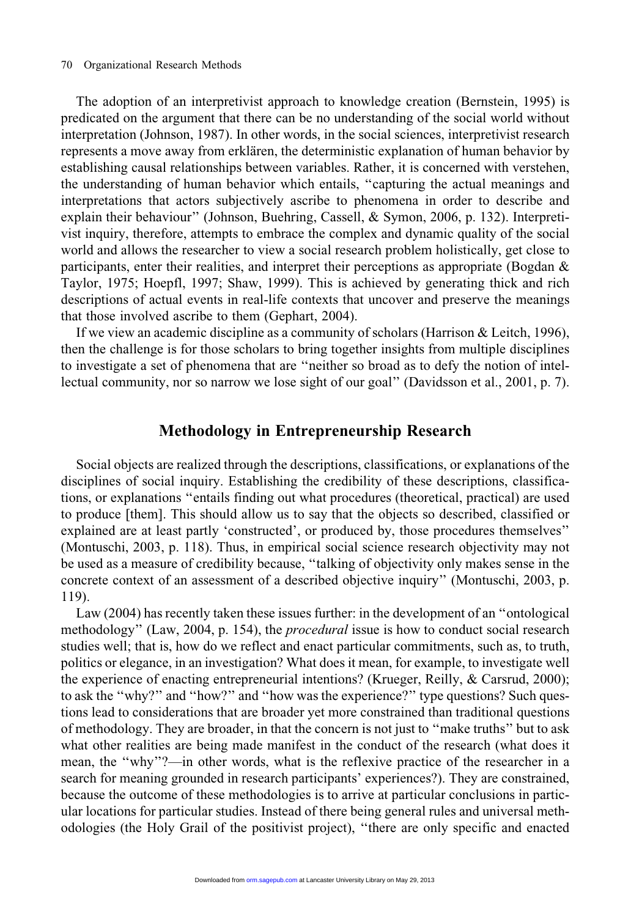#### 70 Organizational Research Methods

The adoption of an interpretivist approach to knowledge creation (Bernstein, 1995) is predicated on the argument that there can be no understanding of the social world without interpretation (Johnson, 1987). In other words, in the social sciences, interpretivist research represents a move away from erklaïren, the deterministic explanation of human behavior by establishing causal relationships between variables. Rather, it is concerned with verstehen, the understanding of human behavior which entails, ''capturing the actual meanings and interpretations that actors subjectively ascribe to phenomena in order to describe and explain their behaviour'' (Johnson, Buehring, Cassell, & Symon, 2006, p. 132). Interpretivist inquiry, therefore, attempts to embrace the complex and dynamic quality of the social world and allows the researcher to view a social research problem holistically, get close to participants, enter their realities, and interpret their perceptions as appropriate (Bogdan & Taylor, 1975; Hoepfl, 1997; Shaw, 1999). This is achieved by generating thick and rich descriptions of actual events in real-life contexts that uncover and preserve the meanings that those involved ascribe to them (Gephart, 2004).

If we view an academic discipline as a community of scholars (Harrison & Leitch, 1996), then the challenge is for those scholars to bring together insights from multiple disciplines to investigate a set of phenomena that are ''neither so broad as to defy the notion of intellectual community, nor so narrow we lose sight of our goal'' (Davidsson et al., 2001, p. 7).

#### Methodology in Entrepreneurship Research

Social objects are realized through the descriptions, classifications, or explanations of the disciplines of social inquiry. Establishing the credibility of these descriptions, classifications, or explanations ''entails finding out what procedures (theoretical, practical) are used to produce [them]. This should allow us to say that the objects so described, classified or explained are at least partly 'constructed', or produced by, those procedures themselves'' (Montuschi, 2003, p. 118). Thus, in empirical social science research objectivity may not be used as a measure of credibility because, ''talking of objectivity only makes sense in the concrete context of an assessment of a described objective inquiry'' (Montuschi, 2003, p. 119).

Law (2004) has recently taken these issues further: in the development of an ''ontological methodology" (Law, 2004, p. 154), the *procedural* issue is how to conduct social research studies well; that is, how do we reflect and enact particular commitments, such as, to truth, politics or elegance, in an investigation? What does it mean, for example, to investigate well the experience of enacting entrepreneurial intentions? (Krueger, Reilly, & Carsrud, 2000); to ask the ''why?'' and ''how?'' and ''how was the experience?'' type questions? Such questions lead to considerations that are broader yet more constrained than traditional questions of methodology. They are broader, in that the concern is not just to ''make truths'' but to ask what other realities are being made manifest in the conduct of the research (what does it mean, the ''why''?—in other words, what is the reflexive practice of the researcher in a search for meaning grounded in research participants' experiences?). They are constrained, because the outcome of these methodologies is to arrive at particular conclusions in particular locations for particular studies. Instead of there being general rules and universal methodologies (the Holy Grail of the positivist project), ''there are only specific and enacted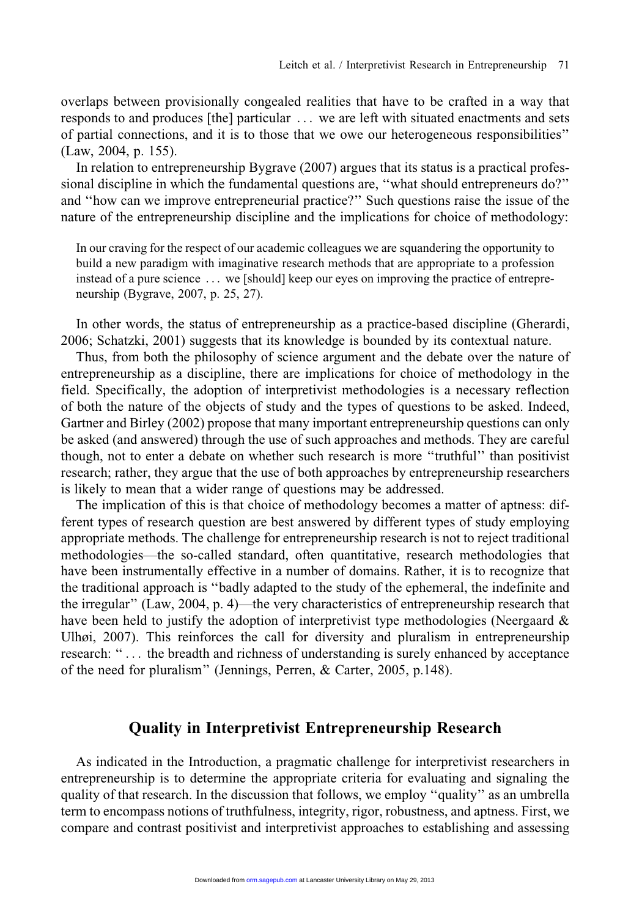overlaps between provisionally congealed realities that have to be crafted in a way that responds to and produces [the] particular ... we are left with situated enactments and sets of partial connections, and it is to those that we owe our heterogeneous responsibilities'' (Law, 2004, p. 155).

In relation to entrepreneurship Bygrave (2007) argues that its status is a practical professional discipline in which the fundamental questions are, ''what should entrepreneurs do?'' and ''how can we improve entrepreneurial practice?'' Such questions raise the issue of the nature of the entrepreneurship discipline and the implications for choice of methodology:

In our craving for the respect of our academic colleagues we are squandering the opportunity to build a new paradigm with imaginative research methods that are appropriate to a profession instead of a pure science ... we [should] keep our eyes on improving the practice of entrepreneurship (Bygrave, 2007, p. 25, 27).

In other words, the status of entrepreneurship as a practice-based discipline (Gherardi, 2006; Schatzki, 2001) suggests that its knowledge is bounded by its contextual nature.

Thus, from both the philosophy of science argument and the debate over the nature of entrepreneurship as a discipline, there are implications for choice of methodology in the field. Specifically, the adoption of interpretivist methodologies is a necessary reflection of both the nature of the objects of study and the types of questions to be asked. Indeed, Gartner and Birley (2002) propose that many important entrepreneurship questions can only be asked (and answered) through the use of such approaches and methods. They are careful though, not to enter a debate on whether such research is more ''truthful'' than positivist research; rather, they argue that the use of both approaches by entrepreneurship researchers is likely to mean that a wider range of questions may be addressed.

The implication of this is that choice of methodology becomes a matter of aptness: different types of research question are best answered by different types of study employing appropriate methods. The challenge for entrepreneurship research is not to reject traditional methodologies—the so-called standard, often quantitative, research methodologies that have been instrumentally effective in a number of domains. Rather, it is to recognize that the traditional approach is ''badly adapted to the study of the ephemeral, the indefinite and the irregular'' (Law, 2004, p. 4)—the very characteristics of entrepreneurship research that have been held to justify the adoption of interpretivist type methodologies (Neergaard  $\&$ Ulhøi, 2007). This reinforces the call for diversity and pluralism in entrepreneurship research: '' ... the breadth and richness of understanding is surely enhanced by acceptance of the need for pluralism'' (Jennings, Perren, & Carter, 2005, p.148).

#### Quality in Interpretivist Entrepreneurship Research

As indicated in the Introduction, a pragmatic challenge for interpretivist researchers in entrepreneurship is to determine the appropriate criteria for evaluating and signaling the quality of that research. In the discussion that follows, we employ ''quality'' as an umbrella term to encompass notions of truthfulness, integrity, rigor, robustness, and aptness. First, we compare and contrast positivist and interpretivist approaches to establishing and assessing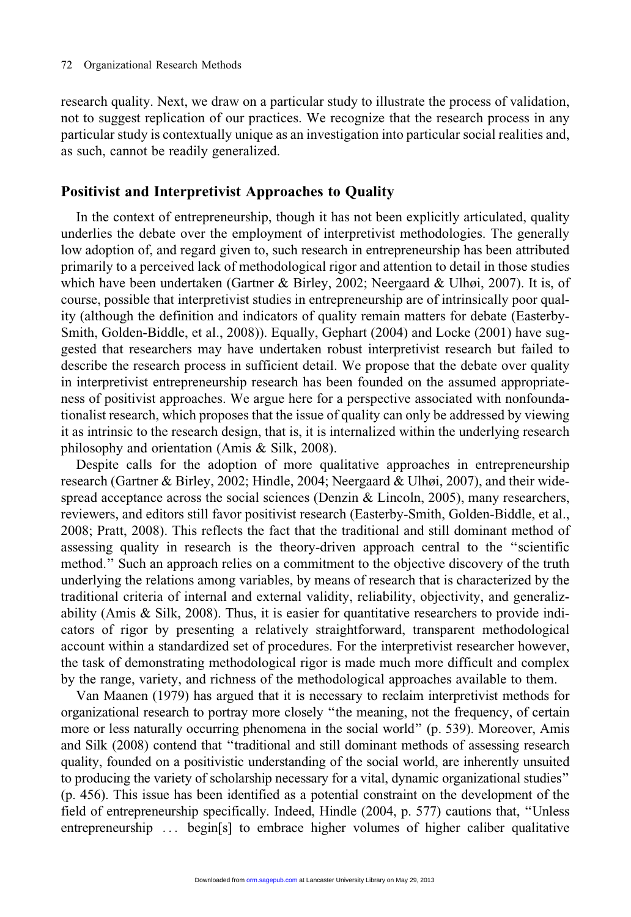research quality. Next, we draw on a particular study to illustrate the process of validation, not to suggest replication of our practices. We recognize that the research process in any particular study is contextually unique as an investigation into particular social realities and, as such, cannot be readily generalized.

#### Positivist and Interpretivist Approaches to Quality

In the context of entrepreneurship, though it has not been explicitly articulated, quality underlies the debate over the employment of interpretivist methodologies. The generally low adoption of, and regard given to, such research in entrepreneurship has been attributed primarily to a perceived lack of methodological rigor and attention to detail in those studies which have been undertaken (Gartner & Birley, 2002; Neergaard & Ulhøi, 2007). It is, of course, possible that interpretivist studies in entrepreneurship are of intrinsically poor quality (although the definition and indicators of quality remain matters for debate (Easterby-Smith, Golden-Biddle, et al., 2008)). Equally, Gephart (2004) and Locke (2001) have suggested that researchers may have undertaken robust interpretivist research but failed to describe the research process in sufficient detail. We propose that the debate over quality in interpretivist entrepreneurship research has been founded on the assumed appropriateness of positivist approaches. We argue here for a perspective associated with nonfoundationalist research, which proposes that the issue of quality can only be addressed by viewing it as intrinsic to the research design, that is, it is internalized within the underlying research philosophy and orientation (Amis & Silk, 2008).

Despite calls for the adoption of more qualitative approaches in entrepreneurship research (Gartner & Birley, 2002; Hindle, 2004; Neergaard & Ulhøi, 2007), and their widespread acceptance across the social sciences (Denzin  $& Lincoln, 2005$ ), many researchers, reviewers, and editors still favor positivist research (Easterby-Smith, Golden-Biddle, et al., 2008; Pratt, 2008). This reflects the fact that the traditional and still dominant method of assessing quality in research is the theory-driven approach central to the ''scientific method.'' Such an approach relies on a commitment to the objective discovery of the truth underlying the relations among variables, by means of research that is characterized by the traditional criteria of internal and external validity, reliability, objectivity, and generalizability (Amis & Silk, 2008). Thus, it is easier for quantitative researchers to provide indicators of rigor by presenting a relatively straightforward, transparent methodological account within a standardized set of procedures. For the interpretivist researcher however, the task of demonstrating methodological rigor is made much more difficult and complex by the range, variety, and richness of the methodological approaches available to them.

Van Maanen (1979) has argued that it is necessary to reclaim interpretivist methods for organizational research to portray more closely ''the meaning, not the frequency, of certain more or less naturally occurring phenomena in the social world'' (p. 539). Moreover, Amis and Silk (2008) contend that ''traditional and still dominant methods of assessing research quality, founded on a positivistic understanding of the social world, are inherently unsuited to producing the variety of scholarship necessary for a vital, dynamic organizational studies'' (p. 456). This issue has been identified as a potential constraint on the development of the field of entrepreneurship specifically. Indeed, Hindle (2004, p. 577) cautions that, ''Unless entrepreneurship ... begin[s] to embrace higher volumes of higher caliber qualitative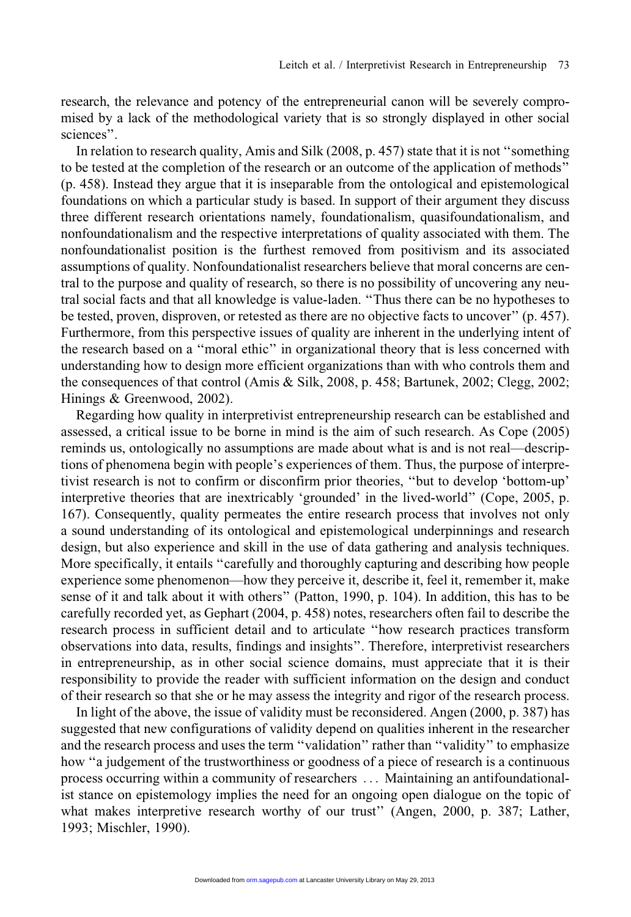research, the relevance and potency of the entrepreneurial canon will be severely compromised by a lack of the methodological variety that is so strongly displayed in other social sciences''.

In relation to research quality, Amis and Silk (2008, p. 457) state that it is not ''something to be tested at the completion of the research or an outcome of the application of methods'' (p. 458). Instead they argue that it is inseparable from the ontological and epistemological foundations on which a particular study is based. In support of their argument they discuss three different research orientations namely, foundationalism, quasifoundationalism, and nonfoundationalism and the respective interpretations of quality associated with them. The nonfoundationalist position is the furthest removed from positivism and its associated assumptions of quality. Nonfoundationalist researchers believe that moral concerns are central to the purpose and quality of research, so there is no possibility of uncovering any neutral social facts and that all knowledge is value-laden. ''Thus there can be no hypotheses to be tested, proven, disproven, or retested as there are no objective facts to uncover'' (p. 457). Furthermore, from this perspective issues of quality are inherent in the underlying intent of the research based on a ''moral ethic'' in organizational theory that is less concerned with understanding how to design more efficient organizations than with who controls them and the consequences of that control (Amis & Silk, 2008, p. 458; Bartunek, 2002; Clegg, 2002; Hinings & Greenwood, 2002).

Regarding how quality in interpretivist entrepreneurship research can be established and assessed, a critical issue to be borne in mind is the aim of such research. As Cope (2005) reminds us, ontologically no assumptions are made about what is and is not real—descriptions of phenomena begin with people's experiences of them. Thus, the purpose of interpretivist research is not to confirm or disconfirm prior theories, ''but to develop 'bottom-up' interpretive theories that are inextricably 'grounded' in the lived-world'' (Cope, 2005, p. 167). Consequently, quality permeates the entire research process that involves not only a sound understanding of its ontological and epistemological underpinnings and research design, but also experience and skill in the use of data gathering and analysis techniques. More specifically, it entails ''carefully and thoroughly capturing and describing how people experience some phenomenon—how they perceive it, describe it, feel it, remember it, make sense of it and talk about it with others'' (Patton, 1990, p. 104). In addition, this has to be carefully recorded yet, as Gephart (2004, p. 458) notes, researchers often fail to describe the research process in sufficient detail and to articulate ''how research practices transform observations into data, results, findings and insights''. Therefore, interpretivist researchers in entrepreneurship, as in other social science domains, must appreciate that it is their responsibility to provide the reader with sufficient information on the design and conduct of their research so that she or he may assess the integrity and rigor of the research process.

In light of the above, the issue of validity must be reconsidered. Angen (2000, p. 387) has suggested that new configurations of validity depend on qualities inherent in the researcher and the research process and uses the term ''validation'' rather than ''validity'' to emphasize how ''a judgement of the trustworthiness or goodness of a piece of research is a continuous process occurring within a community of researchers ... Maintaining an antifoundationalist stance on epistemology implies the need for an ongoing open dialogue on the topic of what makes interpretive research worthy of our trust'' (Angen, 2000, p. 387; Lather, 1993; Mischler, 1990).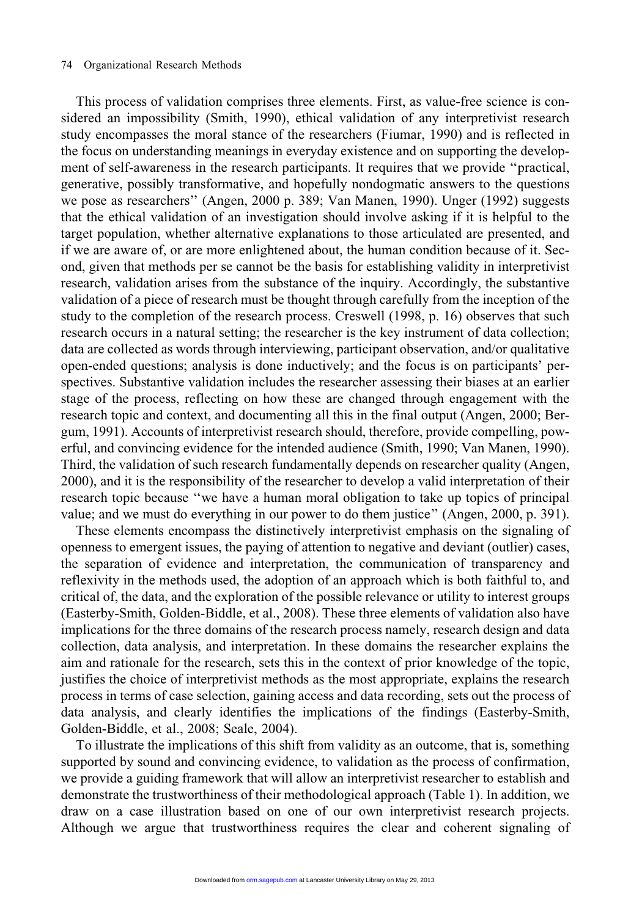#### 74 Organizational Research Methods

This process of validation comprises three elements. First, as value-free science is considered an impossibility (Smith, 1990), ethical validation of any interpretivist research study encompasses the moral stance of the researchers (Fiumar, 1990) and is reflected in the focus on understanding meanings in everyday existence and on supporting the development of self-awareness in the research participants. It requires that we provide ''practical, generative, possibly transformative, and hopefully nondogmatic answers to the questions we pose as researchers'' (Angen, 2000 p. 389; Van Manen, 1990). Unger (1992) suggests that the ethical validation of an investigation should involve asking if it is helpful to the target population, whether alternative explanations to those articulated are presented, and if we are aware of, or are more enlightened about, the human condition because of it. Second, given that methods per se cannot be the basis for establishing validity in interpretivist research, validation arises from the substance of the inquiry. Accordingly, the substantive validation of a piece of research must be thought through carefully from the inception of the study to the completion of the research process. Creswell (1998, p. 16) observes that such research occurs in a natural setting; the researcher is the key instrument of data collection; data are collected as words through interviewing, participant observation, and/or qualitative open-ended questions; analysis is done inductively; and the focus is on participants' perspectives. Substantive validation includes the researcher assessing their biases at an earlier stage of the process, reflecting on how these are changed through engagement with the research topic and context, and documenting all this in the final output (Angen, 2000; Bergum, 1991). Accounts of interpretivist research should, therefore, provide compelling, powerful, and convincing evidence for the intended audience (Smith, 1990; Van Manen, 1990). Third, the validation of such research fundamentally depends on researcher quality (Angen, 2000), and it is the responsibility of the researcher to develop a valid interpretation of their research topic because ''we have a human moral obligation to take up topics of principal value; and we must do everything in our power to do them justice'' (Angen, 2000, p. 391).

These elements encompass the distinctively interpretivist emphasis on the signaling of openness to emergent issues, the paying of attention to negative and deviant (outlier) cases, the separation of evidence and interpretation, the communication of transparency and reflexivity in the methods used, the adoption of an approach which is both faithful to, and critical of, the data, and the exploration of the possible relevance or utility to interest groups (Easterby-Smith, Golden-Biddle, et al., 2008). These three elements of validation also have implications for the three domains of the research process namely, research design and data collection, data analysis, and interpretation. In these domains the researcher explains the aim and rationale for the research, sets this in the context of prior knowledge of the topic, justifies the choice of interpretivist methods as the most appropriate, explains the research process in terms of case selection, gaining access and data recording, sets out the process of data analysis, and clearly identifies the implications of the findings (Easterby-Smith, Golden-Biddle, et al., 2008; Seale, 2004).

To illustrate the implications of this shift from validity as an outcome, that is, something supported by sound and convincing evidence, to validation as the process of confirmation, we provide a guiding framework that will allow an interpretivist researcher to establish and demonstrate the trustworthiness of their methodological approach (Table 1). In addition, we draw on a case illustration based on one of our own interpretivist research projects. Although we argue that trustworthiness requires the clear and coherent signaling of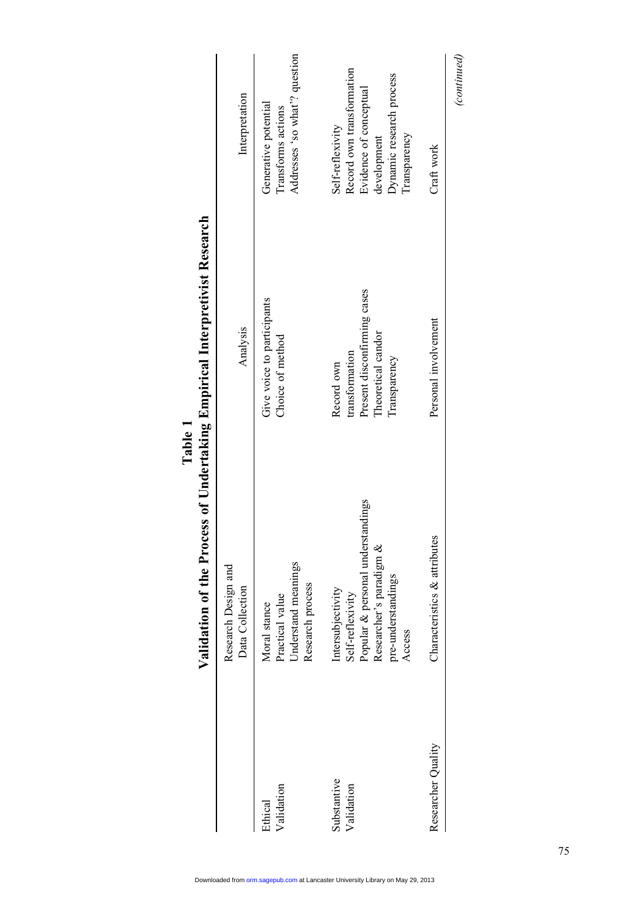|                           |                                                                                                                                       | Validation of the Process of Undertaking Empirical Interpretivist Research                        |                                                                                                                                    |
|---------------------------|---------------------------------------------------------------------------------------------------------------------------------------|---------------------------------------------------------------------------------------------------|------------------------------------------------------------------------------------------------------------------------------------|
|                           | Research Design and<br>Data Collection                                                                                                | Analysis                                                                                          | Interpretation                                                                                                                     |
| Validation<br>Ethical     | Understand meanings<br>Research process<br>Practical value<br>Moral stance                                                            | Give voice to participants<br>Choice of method                                                    | Addresses 'so what'? question<br>Generative potential<br>Transforms actions                                                        |
| Substantive<br>Validation | Popular & personal understandings<br>Researcher's paradigm &<br>pre-understandings<br>Intersubjectivity<br>Self-reflexivity<br>Access | Present disconfirming cases<br>Theoretical candor<br>transformation<br>Transparency<br>Record own | Record own transformation<br>Dynamic research process<br>Evidence of conceptual<br>Self-reflexivity<br>Transparency<br>development |
| Researcher Quality        | Characteristics & attributes                                                                                                          | Personal involvement                                                                              | Craft work                                                                                                                         |
|                           |                                                                                                                                       |                                                                                                   | (continued)                                                                                                                        |

|                     | Ļ              |
|---------------------|----------------|
|                     | I              |
|                     | I              |
| ֧֚֚֬֝<br>۳<br>TakiT | i              |
|                     | j              |
|                     |                |
|                     | $\overline{1}$ |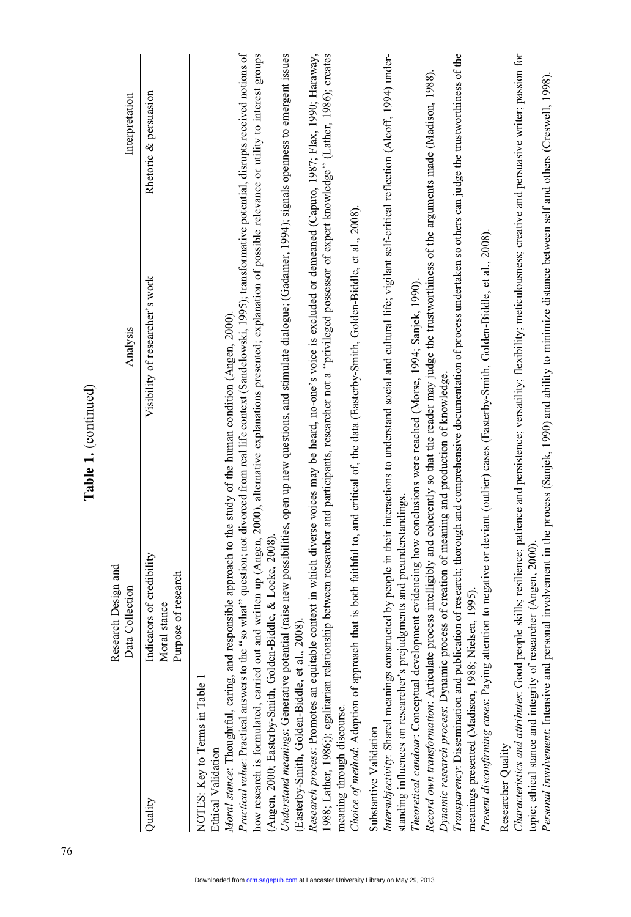|                                                                                              | Table 1. (continued)                                                                                                                                                                                                                                                                                                                        |                                                                                                                     |                       |
|----------------------------------------------------------------------------------------------|---------------------------------------------------------------------------------------------------------------------------------------------------------------------------------------------------------------------------------------------------------------------------------------------------------------------------------------------|---------------------------------------------------------------------------------------------------------------------|-----------------------|
|                                                                                              | Research Design and<br>Data Collection                                                                                                                                                                                                                                                                                                      | Analysis                                                                                                            | Interpretation        |
| Quality                                                                                      | Indicators of credibility<br>Purpose of research<br>Moral stance                                                                                                                                                                                                                                                                            | Visibility of researcher's work                                                                                     | Rhetoric & persuasion |
| NOTES: Key to Terms in Table 1<br>Ethical Validation                                         |                                                                                                                                                                                                                                                                                                                                             |                                                                                                                     |                       |
|                                                                                              | <i>Practical value:</i> Practical answers to the "so what" question; not divorced from real life context (Sandelowski, 1995); transformative potential, disrupts received notions of<br>Moral stance: Thoughtful, caring, and responsible approach to the study of the human condition (Angen, 2000).                                       |                                                                                                                     |                       |
| (Angen, 2000; Easterby-Smith, Golden-Biddle,                                                 | how research is formulated, carried out and written up (Angen, 2000), alternative explanations presented; explanation of possible relevance or utility to interest groups<br>& Locke, 2008)                                                                                                                                                 |                                                                                                                     |                       |
| (Easterby-Smith, Golden-Biddle, et al., 2008).                                               | Understand meanings: Generative potential (raise new possibilities, open up new questions, and stimulate dialogue; (Gadamer, 1994); signals openness to emergent issues                                                                                                                                                                     |                                                                                                                     |                       |
| meaning through discourse.                                                                   | Research process: Promotes an equitable context in which diverse voices may be heard, no-one's voice is excluded or demeaned (Caputo, 1987; Flax, 1990; Haraway,<br>1988; Lather, 1986;); egalitarian relationship between researcher and participants, researcher not a "privileged possessor of expert knowledge" (Lather, 1986); creates |                                                                                                                     |                       |
|                                                                                              | Choice of method: Adoption of approach that is both faithful to, and critical of, the data (Easterby-Smith, Golden-Biddle, et al., 2008).                                                                                                                                                                                                   |                                                                                                                     |                       |
| Substantive Validation                                                                       | Intersubjectivity: Shared meanings constructed by people in their interactions to understand social and cultural life; vigilant self-critical reflection (Alcoff, 1994) under-<br>standing influences on researcher's prejudgments and preunderstandings.                                                                                   |                                                                                                                     |                       |
| Theoretical candour: Conceptual development<br>Record own transformation: Articulate process | evidencing how conclusions were reached (Morse, 1994; Sanjek, 1990).                                                                                                                                                                                                                                                                        | intelligibly and coherently so that the reader may judge the trustworthiness of the arguments made (Madison, 1988). |                       |
|                                                                                              | Dynamic research process: Dynamic process of creation of meaning and production of knowledge.                                                                                                                                                                                                                                               |                                                                                                                     |                       |
| meanings presented (Madison, 1988; Nielsen,                                                  | Transparency: Dissemination and publication of research; thorough and comprehensive documentation of process undertaken so others can judge the trustworthiness of the<br>1995).                                                                                                                                                            |                                                                                                                     |                       |
|                                                                                              | Present disconfirming cases: Paying attention to negative or deviant (outlier) cases (Easterby-Smith, Golden-Biddle, et al., 2008).                                                                                                                                                                                                         |                                                                                                                     |                       |
| topic; ethical stance and integrity of researcher (Angen, 2000)<br>Researcher Quality        | Characteristics and attributes: Good people skills; resilience; patience and persistence; versatility; flexibility; meticulousness; creative and persuasive writer; passion for                                                                                                                                                             |                                                                                                                     |                       |
|                                                                                              | Personal involvement: Intensive and personal involvement in the process (Sanjek, 1990) and ability to minimize distance between self and others (Creswell, 1998).                                                                                                                                                                           |                                                                                                                     |                       |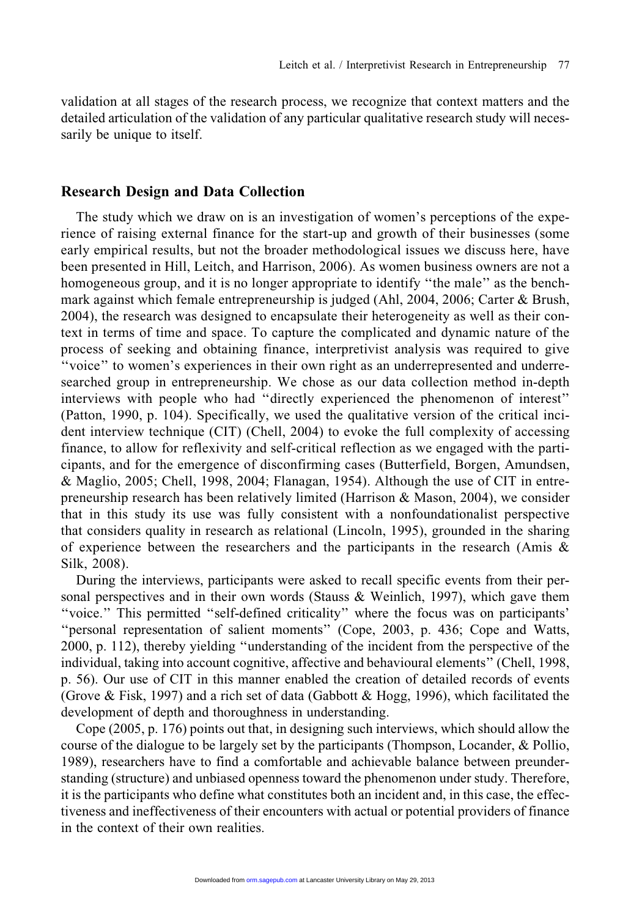validation at all stages of the research process, we recognize that context matters and the detailed articulation of the validation of any particular qualitative research study will necessarily be unique to itself.

#### Research Design and Data Collection

The study which we draw on is an investigation of women's perceptions of the experience of raising external finance for the start-up and growth of their businesses (some early empirical results, but not the broader methodological issues we discuss here, have been presented in Hill, Leitch, and Harrison, 2006). As women business owners are not a homogeneous group, and it is no longer appropriate to identify ''the male'' as the benchmark against which female entrepreneurship is judged (Ahl, 2004, 2006; Carter & Brush, 2004), the research was designed to encapsulate their heterogeneity as well as their context in terms of time and space. To capture the complicated and dynamic nature of the process of seeking and obtaining finance, interpretivist analysis was required to give ''voice'' to women's experiences in their own right as an underrepresented and underresearched group in entrepreneurship. We chose as our data collection method in-depth interviews with people who had ''directly experienced the phenomenon of interest'' (Patton, 1990, p. 104). Specifically, we used the qualitative version of the critical incident interview technique (CIT) (Chell, 2004) to evoke the full complexity of accessing finance, to allow for reflexivity and self-critical reflection as we engaged with the participants, and for the emergence of disconfirming cases (Butterfield, Borgen, Amundsen, & Maglio, 2005; Chell, 1998, 2004; Flanagan, 1954). Although the use of CIT in entrepreneurship research has been relatively limited (Harrison & Mason, 2004), we consider that in this study its use was fully consistent with a nonfoundationalist perspective that considers quality in research as relational (Lincoln, 1995), grounded in the sharing of experience between the researchers and the participants in the research (Amis  $\&$ Silk, 2008).

During the interviews, participants were asked to recall specific events from their personal perspectives and in their own words (Stauss  $&$  Weinlich, 1997), which gave them ''voice.'' This permitted ''self-defined criticality'' where the focus was on participants' "personal representation of salient moments" (Cope, 2003, p. 436; Cope and Watts, 2000, p. 112), thereby yielding ''understanding of the incident from the perspective of the individual, taking into account cognitive, affective and behavioural elements'' (Chell, 1998, p. 56). Our use of CIT in this manner enabled the creation of detailed records of events (Grove & Fisk, 1997) and a rich set of data (Gabbott & Hogg, 1996), which facilitated the development of depth and thoroughness in understanding.

Cope (2005, p. 176) points out that, in designing such interviews, which should allow the course of the dialogue to be largely set by the participants (Thompson, Locander, & Pollio, 1989), researchers have to find a comfortable and achievable balance between preunderstanding (structure) and unbiased openness toward the phenomenon under study. Therefore, it is the participants who define what constitutes both an incident and, in this case, the effectiveness and ineffectiveness of their encounters with actual or potential providers of finance in the context of their own realities.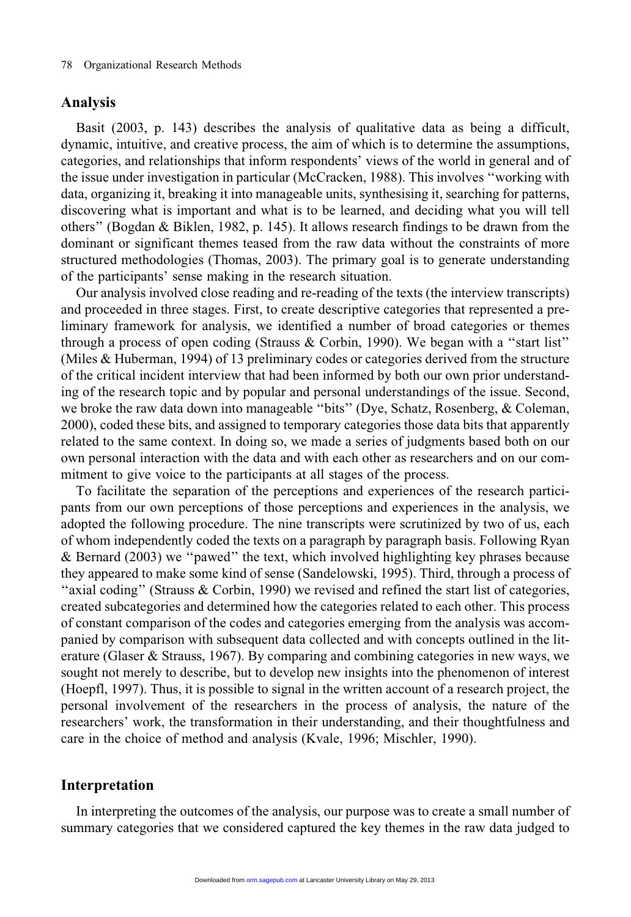#### 78 Organizational Research Methods

#### Analysis

Basit (2003, p. 143) describes the analysis of qualitative data as being a difficult, dynamic, intuitive, and creative process, the aim of which is to determine the assumptions, categories, and relationships that inform respondents' views of the world in general and of the issue under investigation in particular (McCracken, 1988). This involves ''working with data, organizing it, breaking it into manageable units, synthesising it, searching for patterns, discovering what is important and what is to be learned, and deciding what you will tell others'' (Bogdan & Biklen, 1982, p. 145). It allows research findings to be drawn from the dominant or significant themes teased from the raw data without the constraints of more structured methodologies (Thomas, 2003). The primary goal is to generate understanding of the participants' sense making in the research situation.

Our analysis involved close reading and re-reading of the texts (the interview transcripts) and proceeded in three stages. First, to create descriptive categories that represented a preliminary framework for analysis, we identified a number of broad categories or themes through a process of open coding (Strauss & Corbin, 1990). We began with a ''start list'' (Miles & Huberman, 1994) of 13 preliminary codes or categories derived from the structure of the critical incident interview that had been informed by both our own prior understanding of the research topic and by popular and personal understandings of the issue. Second, we broke the raw data down into manageable ''bits'' (Dye, Schatz, Rosenberg, & Coleman, 2000), coded these bits, and assigned to temporary categories those data bits that apparently related to the same context. In doing so, we made a series of judgments based both on our own personal interaction with the data and with each other as researchers and on our commitment to give voice to the participants at all stages of the process.

To facilitate the separation of the perceptions and experiences of the research participants from our own perceptions of those perceptions and experiences in the analysis, we adopted the following procedure. The nine transcripts were scrutinized by two of us, each of whom independently coded the texts on a paragraph by paragraph basis. Following Ryan & Bernard (2003) we ''pawed'' the text, which involved highlighting key phrases because they appeared to make some kind of sense (Sandelowski, 1995). Third, through a process of "axial coding" (Strauss & Corbin, 1990) we revised and refined the start list of categories, created subcategories and determined how the categories related to each other. This process of constant comparison of the codes and categories emerging from the analysis was accompanied by comparison with subsequent data collected and with concepts outlined in the literature (Glaser & Strauss, 1967). By comparing and combining categories in new ways, we sought not merely to describe, but to develop new insights into the phenomenon of interest (Hoepfl, 1997). Thus, it is possible to signal in the written account of a research project, the personal involvement of the researchers in the process of analysis, the nature of the researchers' work, the transformation in their understanding, and their thoughtfulness and care in the choice of method and analysis (Kvale, 1996; Mischler, 1990).

#### Interpretation

In interpreting the outcomes of the analysis, our purpose was to create a small number of summary categories that we considered captured the key themes in the raw data judged to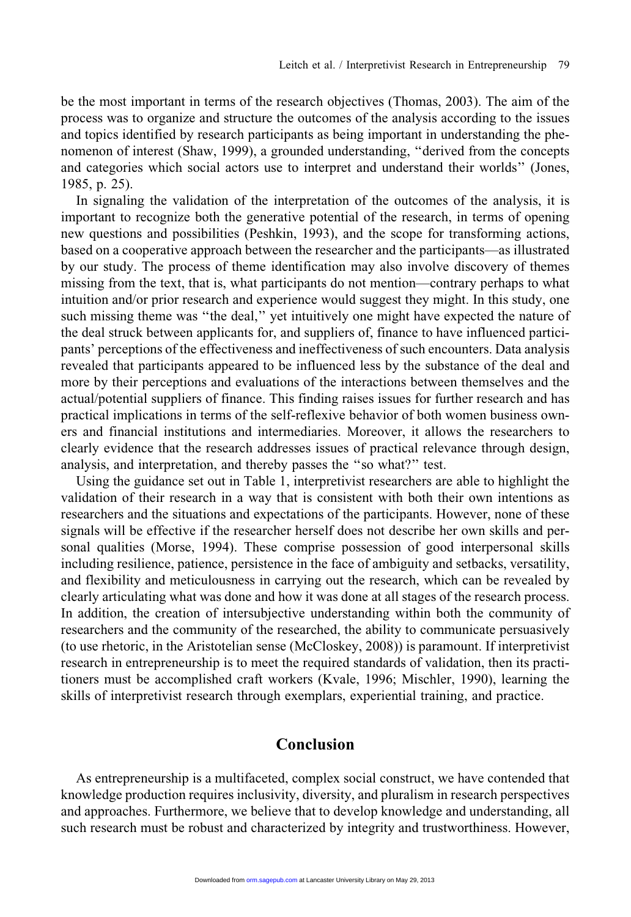be the most important in terms of the research objectives (Thomas, 2003). The aim of the process was to organize and structure the outcomes of the analysis according to the issues and topics identified by research participants as being important in understanding the phenomenon of interest (Shaw, 1999), a grounded understanding, ''derived from the concepts and categories which social actors use to interpret and understand their worlds'' (Jones, 1985, p. 25).

In signaling the validation of the interpretation of the outcomes of the analysis, it is important to recognize both the generative potential of the research, in terms of opening new questions and possibilities (Peshkin, 1993), and the scope for transforming actions, based on a cooperative approach between the researcher and the participants—as illustrated by our study. The process of theme identification may also involve discovery of themes missing from the text, that is, what participants do not mention—contrary perhaps to what intuition and/or prior research and experience would suggest they might. In this study, one such missing theme was ''the deal,'' yet intuitively one might have expected the nature of the deal struck between applicants for, and suppliers of, finance to have influenced participants' perceptions of the effectiveness and ineffectiveness of such encounters. Data analysis revealed that participants appeared to be influenced less by the substance of the deal and more by their perceptions and evaluations of the interactions between themselves and the actual/potential suppliers of finance. This finding raises issues for further research and has practical implications in terms of the self-reflexive behavior of both women business owners and financial institutions and intermediaries. Moreover, it allows the researchers to clearly evidence that the research addresses issues of practical relevance through design, analysis, and interpretation, and thereby passes the ''so what?'' test.

Using the guidance set out in Table 1, interpretivist researchers are able to highlight the validation of their research in a way that is consistent with both their own intentions as researchers and the situations and expectations of the participants. However, none of these signals will be effective if the researcher herself does not describe her own skills and personal qualities (Morse, 1994). These comprise possession of good interpersonal skills including resilience, patience, persistence in the face of ambiguity and setbacks, versatility, and flexibility and meticulousness in carrying out the research, which can be revealed by clearly articulating what was done and how it was done at all stages of the research process. In addition, the creation of intersubjective understanding within both the community of researchers and the community of the researched, the ability to communicate persuasively (to use rhetoric, in the Aristotelian sense (McCloskey, 2008)) is paramount. If interpretivist research in entrepreneurship is to meet the required standards of validation, then its practitioners must be accomplished craft workers (Kvale, 1996; Mischler, 1990), learning the skills of interpretivist research through exemplars, experiential training, and practice.

#### Conclusion

As entrepreneurship is a multifaceted, complex social construct, we have contended that knowledge production requires inclusivity, diversity, and pluralism in research perspectives and approaches. Furthermore, we believe that to develop knowledge and understanding, all such research must be robust and characterized by integrity and trustworthiness. However,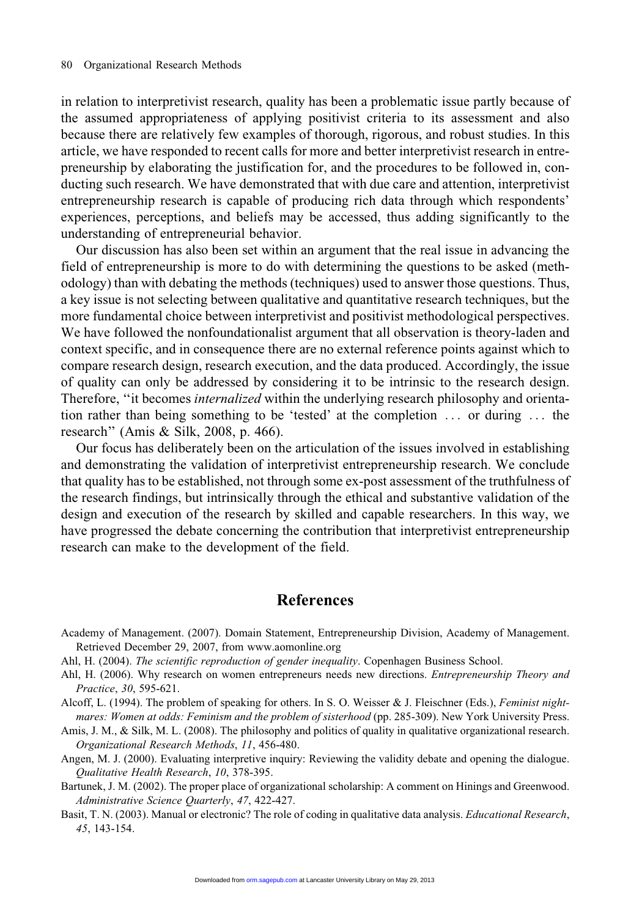in relation to interpretivist research, quality has been a problematic issue partly because of the assumed appropriateness of applying positivist criteria to its assessment and also because there are relatively few examples of thorough, rigorous, and robust studies. In this article, we have responded to recent calls for more and better interpretivist research in entrepreneurship by elaborating the justification for, and the procedures to be followed in, conducting such research. We have demonstrated that with due care and attention, interpretivist entrepreneurship research is capable of producing rich data through which respondents' experiences, perceptions, and beliefs may be accessed, thus adding significantly to the understanding of entrepreneurial behavior.

Our discussion has also been set within an argument that the real issue in advancing the field of entrepreneurship is more to do with determining the questions to be asked (methodology) than with debating the methods (techniques) used to answer those questions. Thus, a key issue is not selecting between qualitative and quantitative research techniques, but the more fundamental choice between interpretivist and positivist methodological perspectives. We have followed the nonfoundationalist argument that all observation is theory-laden and context specific, and in consequence there are no external reference points against which to compare research design, research execution, and the data produced. Accordingly, the issue of quality can only be addressed by considering it to be intrinsic to the research design. Therefore, "it becomes *internalized* within the underlying research philosophy and orientation rather than being something to be 'tested' at the completion ... or during ... the research'' (Amis & Silk, 2008, p. 466).

Our focus has deliberately been on the articulation of the issues involved in establishing and demonstrating the validation of interpretivist entrepreneurship research. We conclude that quality has to be established, not through some ex-post assessment of the truthfulness of the research findings, but intrinsically through the ethical and substantive validation of the design and execution of the research by skilled and capable researchers. In this way, we have progressed the debate concerning the contribution that interpretivist entrepreneurship research can make to the development of the field.

#### References

- Academy of Management. (2007). Domain Statement, Entrepreneurship Division, Academy of Management. Retrieved December 29, 2007, from www.aomonline.org
- Ahl, H. (2004). The scientific reproduction of gender inequality. Copenhagen Business School.
- Ahl, H. (2006). Why research on women entrepreneurs needs new directions. *Entrepreneurship Theory and* Practice, 30, 595-621.
- Alcoff, L. (1994). The problem of speaking for others. In S. O. Weisser & J. Fleischner (Eds.), Feminist nightmares: Women at odds: Feminism and the problem of sisterhood (pp. 285-309). New York University Press.
- Amis, J. M., & Silk, M. L. (2008). The philosophy and politics of quality in qualitative organizational research. Organizational Research Methods, 11, 456-480.
- Angen, M. J. (2000). Evaluating interpretive inquiry: Reviewing the validity debate and opening the dialogue. Qualitative Health Research, 10, 378-395.
- Bartunek, J. M. (2002). The proper place of organizational scholarship: A comment on Hinings and Greenwood. Administrative Science Quarterly, 47, 422-427.
- Basit, T. N. (2003). Manual or electronic? The role of coding in qualitative data analysis. *Educational Research*, 45, 143-154.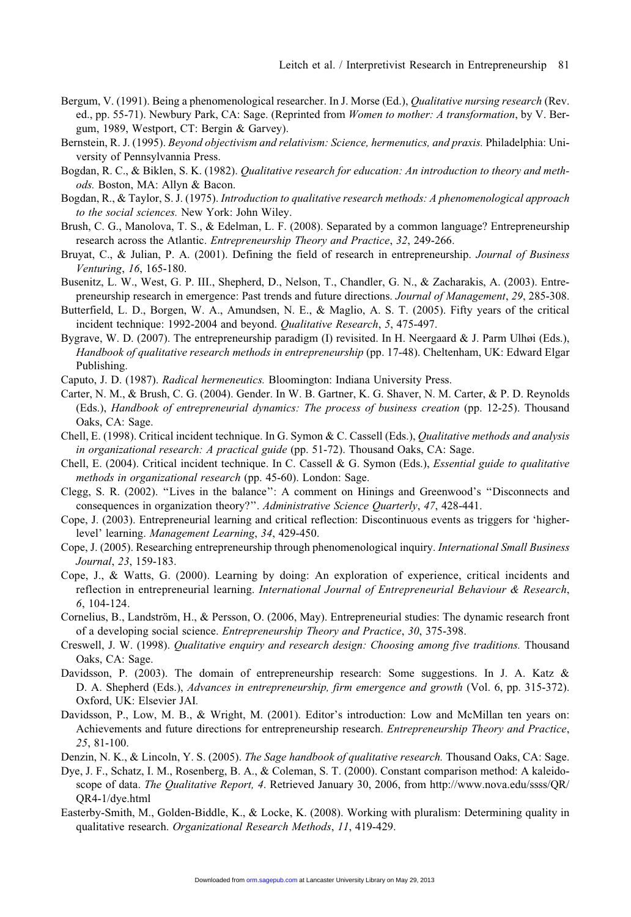- Bergum, V. (1991). Being a phenomenological researcher. In J. Morse (Ed.), Qualitative nursing research (Rev. ed., pp. 55-71). Newbury Park, CA: Sage. (Reprinted from Women to mother: A transformation, by V. Bergum, 1989, Westport, CT: Bergin & Garvey).
- Bernstein, R. J. (1995). Beyond objectivism and relativism: Science, hermenutics, and praxis. Philadelphia: University of Pennsylvannia Press.
- Bogdan, R. C., & Biklen, S. K. (1982). Qualitative research for education: An introduction to theory and methods. Boston, MA: Allyn & Bacon.
- Bogdan, R., & Taylor, S. J. (1975). Introduction to qualitative research methods: A phenomenological approach to the social sciences. New York: John Wiley.
- Brush, C. G., Manolova, T. S., & Edelman, L. F. (2008). Separated by a common language? Entrepreneurship research across the Atlantic. Entrepreneurship Theory and Practice, 32, 249-266.
- Bruyat, C., & Julian, P. A. (2001). Defining the field of research in entrepreneurship. Journal of Business Venturing, 16, 165-180.
- Busenitz, L. W., West, G. P. III., Shepherd, D., Nelson, T., Chandler, G. N., & Zacharakis, A. (2003). Entrepreneurship research in emergence: Past trends and future directions. Journal of Management, 29, 285-308.
- Butterfield, L. D., Borgen, W. A., Amundsen, N. E., & Maglio, A. S. T. (2005). Fifty years of the critical incident technique: 1992-2004 and beyond. Qualitative Research, 5, 475-497.
- Bygrave, W. D. (2007). The entrepreneurship paradigm (I) revisited. In H. Neergaard & J. Parm Ulhøi (Eds.), Handbook of qualitative research methods in entrepreneurship (pp. 17-48). Cheltenham, UK: Edward Elgar Publishing.
- Caputo, J. D. (1987). Radical hermeneutics. Bloomington: Indiana University Press.
- Carter, N. M., & Brush, C. G. (2004). Gender. In W. B. Gartner, K. G. Shaver, N. M. Carter, & P. D. Reynolds (Eds.), Handbook of entrepreneurial dynamics: The process of business creation (pp. 12-25). Thousand Oaks, CA: Sage.
- Chell, E. (1998). Critical incident technique. In G. Symon & C. Cassell (Eds.), Qualitative methods and analysis in organizational research: A practical guide (pp. 51-72). Thousand Oaks, CA: Sage.
- Chell, E. (2004). Critical incident technique. In C. Cassell & G. Symon (Eds.), Essential guide to qualitative methods in organizational research (pp. 45-60). London: Sage.
- Clegg, S. R. (2002). ''Lives in the balance'': A comment on Hinings and Greenwood's ''Disconnects and consequences in organization theory?''. Administrative Science Quarterly, 47, 428-441.
- Cope, J. (2003). Entrepreneurial learning and critical reflection: Discontinuous events as triggers for 'higherlevel' learning. Management Learning, 34, 429-450.
- Cope, J. (2005). Researching entrepreneurship through phenomenological inquiry. International Small Business Journal, 23, 159-183.
- Cope, J., & Watts, G. (2000). Learning by doing: An exploration of experience, critical incidents and reflection in entrepreneurial learning. International Journal of Entrepreneurial Behaviour & Research, 6, 104-124.
- Cornelius, B., Landström, H., & Persson, O. (2006, May). Entrepreneurial studies: The dynamic research front of a developing social science. Entrepreneurship Theory and Practice, 30, 375-398.
- Creswell, J. W. (1998). Qualitative enquiry and research design: Choosing among five traditions. Thousand Oaks, CA: Sage.
- Davidsson, P. (2003). The domain of entrepreneurship research: Some suggestions. In J. A. Katz & D. A. Shepherd (Eds.), Advances in entrepreneurship, firm emergence and growth (Vol. 6, pp. 315-372). Oxford, UK: Elsevier JAI.
- Davidsson, P., Low, M. B., & Wright, M. (2001). Editor's introduction: Low and McMillan ten years on: Achievements and future directions for entrepreneurship research. Entrepreneurship Theory and Practice, 25, 81-100.
- Denzin, N. K., & Lincoln, Y. S. (2005). The Sage handbook of qualitative research. Thousand Oaks, CA: Sage.
- Dye, J. F., Schatz, I. M., Rosenberg, B. A., & Coleman, S. T. (2000). Constant comparison method: A kaleidoscope of data. The Qualitative Report, 4. Retrieved January 30, 2006, from http://www.nova.edu/ssss/QR/ QR4-1/dye.html
- Easterby-Smith, M., Golden-Biddle, K., & Locke, K. (2008). Working with pluralism: Determining quality in qualitative research. Organizational Research Methods, 11, 419-429.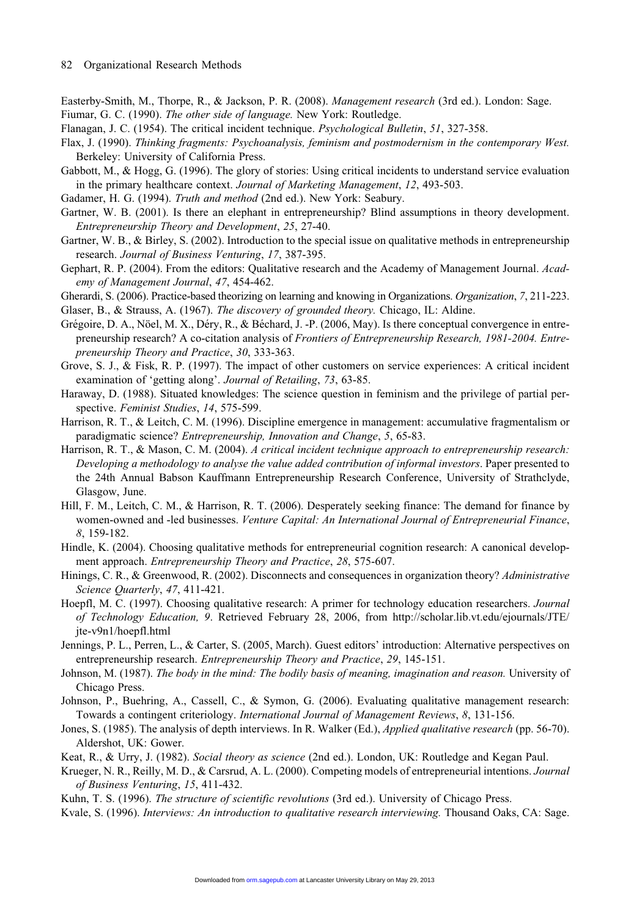Easterby-Smith, M., Thorpe, R., & Jackson, P. R. (2008). Management research (3rd ed.). London: Sage. Fiumar, G. C. (1990). The other side of language. New York: Routledge.

Flanagan, J. C. (1954). The critical incident technique. *Psychological Bulletin*, 51, 327-358.

Flax, J. (1990). Thinking fragments: Psychoanalysis, feminism and postmodernism in the contemporary West. Berkeley: University of California Press.

Gabbott, M., & Hogg, G. (1996). The glory of stories: Using critical incidents to understand service evaluation in the primary healthcare context. Journal of Marketing Management, 12, 493-503.

Gadamer, H. G. (1994). Truth and method (2nd ed.). New York: Seabury.

Gartner, W. B. (2001). Is there an elephant in entrepreneurship? Blind assumptions in theory development. Entrepreneurship Theory and Development, 25, 27-40.

Gartner, W. B., & Birley, S. (2002). Introduction to the special issue on qualitative methods in entrepreneurship research. Journal of Business Venturing, 17, 387-395.

Gephart, R. P. (2004). From the editors: Qualitative research and the Academy of Management Journal. Academy of Management Journal, 47, 454-462.

Gherardi, S. (2006). Practice-based theorizing on learning and knowing in Organizations. *Organization*, 7, 211-223.

Glaser, B., & Strauss, A. (1967). The discovery of grounded theory. Chicago, IL: Aldine.

- Grégoire, D. A., Nöel, M. X., Déry, R., & Béchard, J. -P. (2006, May). Is there conceptual convergence in entrepreneurship research? A co-citation analysis of Frontiers of Entrepreneurship Research, 1981-2004. Entrepreneurship Theory and Practice, 30, 333-363.
- Grove, S. J., & Fisk, R. P. (1997). The impact of other customers on service experiences: A critical incident examination of 'getting along'. Journal of Retailing, 73, 63-85.
- Haraway, D. (1988). Situated knowledges: The science question in feminism and the privilege of partial perspective. Feminist Studies, 14, 575-599.

Harrison, R. T., & Leitch, C. M. (1996). Discipline emergence in management: accumulative fragmentalism or paradigmatic science? Entrepreneurship, Innovation and Change, 5, 65-83.

- Harrison, R. T., & Mason, C. M. (2004). A critical incident technique approach to entrepreneurship research: Developing a methodology to analyse the value added contribution of informal investors. Paper presented to the 24th Annual Babson Kauffmann Entrepreneurship Research Conference, University of Strathclyde, Glasgow, June.
- Hill, F. M., Leitch, C. M., & Harrison, R. T. (2006). Desperately seeking finance: The demand for finance by women-owned and -led businesses. Venture Capital: An International Journal of Entrepreneurial Finance, 8, 159-182.

Hindle, K. (2004). Choosing qualitative methods for entrepreneurial cognition research: A canonical development approach. Entrepreneurship Theory and Practice, 28, 575-607.

Hinings, C. R., & Greenwood, R. (2002). Disconnects and consequences in organization theory? Administrative Science Quarterly, 47, 411-421.

Hoepfl, M. C. (1997). Choosing qualitative research: A primer for technology education researchers. Journal of Technology Education, 9. Retrieved February 28, 2006, from http://scholar.lib.vt.edu/ejournals/JTE/ jte-v9n1/hoepfl.html

Jennings, P. L., Perren, L., & Carter, S. (2005, March). Guest editors' introduction: Alternative perspectives on entrepreneurship research. Entrepreneurship Theory and Practice, 29, 145-151.

Johnson, M. (1987). The body in the mind: The bodily basis of meaning, imagination and reason. University of Chicago Press.

Johnson, P., Buehring, A., Cassell, C., & Symon, G. (2006). Evaluating qualitative management research: Towards a contingent criteriology. International Journal of Management Reviews, 8, 131-156.

Jones, S. (1985). The analysis of depth interviews. In R. Walker (Ed.), *Applied qualitative research* (pp. 56-70). Aldershot, UK: Gower.

Keat, R., & Urry, J. (1982). Social theory as science (2nd ed.). London, UK: Routledge and Kegan Paul.

Krueger, N. R., Reilly, M. D., & Carsrud, A. L. (2000). Competing models of entrepreneurial intentions. Journal of Business Venturing, 15, 411-432.

Kuhn, T. S. (1996). The structure of scientific revolutions (3rd ed.). University of Chicago Press.

Kvale, S. (1996). Interviews: An introduction to qualitative research interviewing. Thousand Oaks, CA: Sage.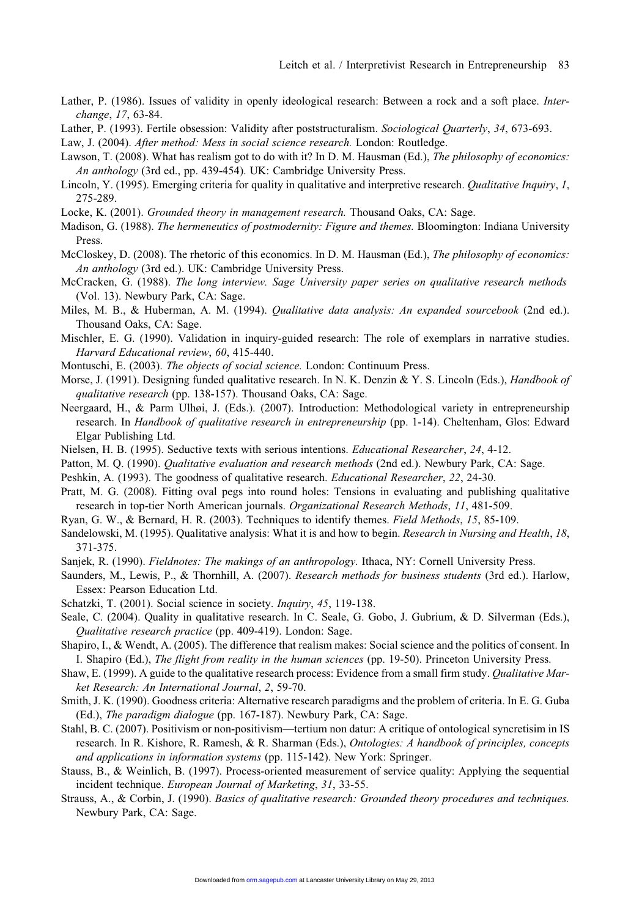- Lather, P. (1986). Issues of validity in openly ideological research: Between a rock and a soft place. Interchange, 17, 63-84.
- Lather, P. (1993). Fertile obsession: Validity after poststructuralism. Sociological Quarterly, 34, 673-693.

Law, J. (2004). After method: Mess in social science research. London: Routledge.

- Lawson, T. (2008). What has realism got to do with it? In D. M. Hausman (Ed.), The philosophy of economics: An anthology (3rd ed., pp. 439-454). UK: Cambridge University Press.
- Lincoln, Y. (1995). Emerging criteria for quality in qualitative and interpretive research. Qualitative Inquiry, 1, 275-289.

Locke, K. (2001). Grounded theory in management research. Thousand Oaks, CA: Sage.

- Madison, G. (1988). The hermeneutics of postmodernity: Figure and themes. Bloomington: Indiana University Press.
- McCloskey, D. (2008). The rhetoric of this economics. In D. M. Hausman (Ed.), The philosophy of economics: An anthology (3rd ed.). UK: Cambridge University Press.
- McCracken, G. (1988). The long interview. Sage University paper series on qualitative research methods. (Vol. 13). Newbury Park, CA: Sage.
- Miles, M. B., & Huberman, A. M. (1994). Qualitative data analysis: An expanded sourcebook (2nd ed.). Thousand Oaks, CA: Sage.
- Mischler, E. G. (1990). Validation in inquiry-guided research: The role of exemplars in narrative studies. Harvard Educational review, 60, 415-440.
- Montuschi, E. (2003). The objects of social science. London: Continuum Press.
- Morse, J. (1991). Designing funded qualitative research. In N. K. Denzin & Y. S. Lincoln (Eds.), *Handbook of* qualitative research (pp. 138-157). Thousand Oaks, CA: Sage.
- Neergaard, H., & Parm Ulhøi, J. (Eds.). (2007). Introduction: Methodological variety in entrepreneurship research. In Handbook of qualitative research in entrepreneurship (pp. 1-14). Cheltenham, Glos: Edward Elgar Publishing Ltd.
- Nielsen, H. B. (1995). Seductive texts with serious intentions. Educational Researcher, 24, 4-12.
- Patton, M. Q. (1990). Qualitative evaluation and research methods (2nd ed.). Newbury Park, CA: Sage.
- Peshkin, A. (1993). The goodness of qualitative research. *Educational Researcher*, 22, 24-30.
- Pratt, M. G. (2008). Fitting oval pegs into round holes: Tensions in evaluating and publishing qualitative research in top-tier North American journals. Organizational Research Methods, 11, 481-509.
- Ryan, G. W., & Bernard, H. R. (2003). Techniques to identify themes. *Field Methods*, 15, 85-109.
- Sandelowski, M. (1995). Qualitative analysis: What it is and how to begin. Research in Nursing and Health, 18, 371-375.
- Sanjek, R. (1990). Fieldnotes: The makings of an anthropology. Ithaca, NY: Cornell University Press.
- Saunders, M., Lewis, P., & Thornhill, A. (2007). Research methods for business students (3rd ed.). Harlow, Essex: Pearson Education Ltd.
- Schatzki, T. (2001). Social science in society. Inquiry, 45, 119-138.
- Seale, C. (2004). Quality in qualitative research. In C. Seale, G. Gobo, J. Gubrium, & D. Silverman (Eds.), Qualitative research practice (pp. 409-419). London: Sage.
- Shapiro, I., & Wendt, A. (2005). The difference that realism makes: Social science and the politics of consent. In I. Shapiro (Ed.), The flight from reality in the human sciences (pp. 19-50). Princeton University Press.
- Shaw, E. (1999). A guide to the qualitative research process: Evidence from a small firm study. Qualitative Market Research: An International Journal, 2, 59-70.
- Smith, J. K. (1990). Goodness criteria: Alternative research paradigms and the problem of criteria. In E. G. Guba (Ed.), The paradigm dialogue (pp. 167-187). Newbury Park, CA: Sage.
- Stahl, B. C. (2007). Positivism or non-positivism—tertium non datur: A critique of ontological syncretisim in IS research. In R. Kishore, R. Ramesh, & R. Sharman (Eds.), Ontologies: A handbook of principles, concepts and applications in information systems (pp. 115-142). New York: Springer.
- Stauss, B., & Weinlich, B. (1997). Process-oriented measurement of service quality: Applying the sequential incident technique. European Journal of Marketing, 31, 33-55.
- Strauss, A., & Corbin, J. (1990). Basics of qualitative research: Grounded theory procedures and techniques. Newbury Park, CA: Sage.